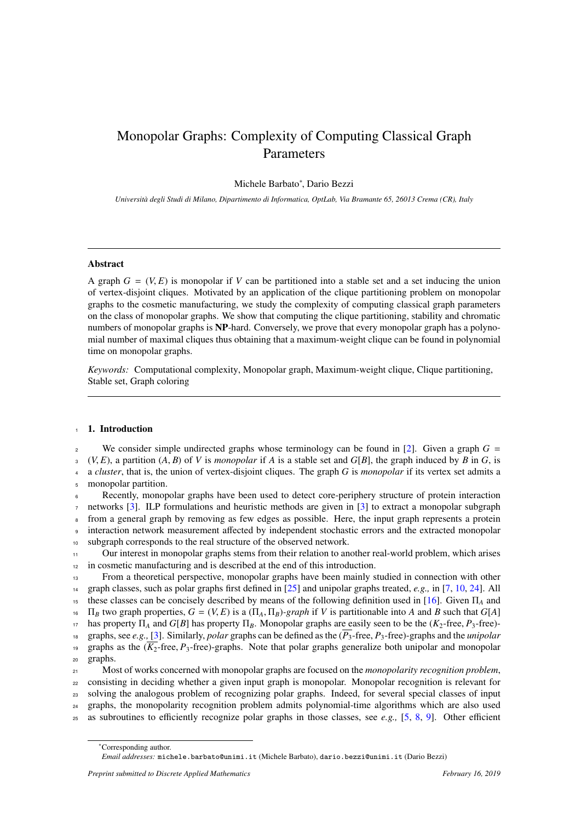# Monopolar Graphs: Complexity of Computing Classical Graph Parameters

# Michele Barbato<sup>∗</sup> , Dario Bezzi

*Università degli Studi di Milano, Dipartimento di Informatica, OptLab, Via Bramante 65, 26013 Crema (CR), Italy* 

#### Abstract

A graph  $G = (V, E)$  is monopolar if V can be partitioned into a stable set and a set inducing the union of vertex-disjoint cliques. Motivated by an application of the clique partitioning problem on monopolar graphs to the cosmetic manufacturing, we study the complexity of computing classical graph parameters on the class of monopolar graphs. We show that computing the clique partitioning, stability and chromatic numbers of monopolar graphs is NP-hard. Conversely, we prove that every monopolar graph has a polynomial number of maximal cliques thus obtaining that a maximum-weight clique can be found in polynomial time on monopolar graphs.

*Keywords:* Computational complexity, Monopolar graph, Maximum-weight clique, Clique partitioning, Stable set, Graph coloring

#### 1. Introduction

<sup>2</sup> We consider simple undirected graphs whose terminology can be found in [\[2\]](#page-7-0). Given a graph  $G =$  $(1, 2)$  (*V, E*), a partition (*A, B*) of *V* is *monopolar* if *A* is a stable set and *G*[*B*], the graph induced by *B* in *G*, is a *cluster* that is the union of vertex-disjoint cliques. The graph *G* is *monopolar* <sup>4</sup> a *cluster*, that is, the union of vertex-disjoint cliques. The graph *G* is *monopolar* if its vertex set admits a <sup>5</sup> monopolar partition.

Recently, monopolar graphs have been used to detect core-periphery structure of protein interaction networks [\[3\]](#page-7-1). ILP formulations and heuristic methods are given in [\[3\]](#page-7-1) to extract a monopolar subgraph from a general graph by removing as few edges as possible. Here, the input graph represents a protein interaction network measurement affected by independent stochastic errors and the extracted monopolar subgraph corresponds to the real structure of the observed network.

<sup>11</sup> Our interest in monopolar graphs stems from their relation to another real-world problem, which arises <sup>12</sup> in cosmetic manufacturing and is described at the end of this introduction.

<sup>13</sup> From a theoretical perspective, monopolar graphs have been mainly studied in connection with other <sup>14</sup> graph classes, such as polar graphs first defined in [\[25\]](#page-7-2) and unipolar graphs treated, *e.g.,* in [\[7,](#page-7-3) [10,](#page-7-4) [24\]](#page-7-5). All <sup>15</sup> these classes can be concisely described by means of the following definition used in [\[16\]](#page-7-6). Given Π*<sup>A</sup>* and <sup>16</sup>  $\Pi_B$  two graph properties,  $G = (V, E)$  is a  $(\Pi_A, \Pi_B)$ -graph if *V* is partitionable into *A* and *B* such that *G*[*A*] has property  $\Pi_A$  and *G*[*B*] has property  $\Pi_B$ . Monopolar graphs are easily seen to be the <sup>17</sup> has property Π<sub>A</sub> and *G*[*B*] has property Π<sub>*B*</sub>. Monopolar graphs are easily seen to be the (*K*<sub>2</sub>-free, *P*<sub>3</sub>-free)-<br><sup>18</sup> graphs, see *e.g.*, [3]. Similarly, *polar* graphs can be defined as the ( $\overline{P_3}$ -fr <sup>18</sup> graphs, see *e.g.*, [\[3\]](#page-7-1). Similarly, *polar* graphs can be defined as the  $(\overline{P_3}$ -free,  $P_3$ -free)-graphs and the *unipolar*<br><sup>19</sup> graphs as the  $(\overline{K_2}$ -free,  $P_3$ -free)-graphs. Note that polar graphs generaliz <sup>19</sup> graphs as the  $(\overline{K_2}$ -free,  $P_3$ -free)-graphs. Note that polar graphs generalize both unipolar and monopolar graphs. graphs.

21 Most of works concerned with monopolar graphs are focused on the *monopolarity recognition problem*, consisting in deciding whether a given input graph is monopolar. Monopolar recognition is relevant for solving the analogous problem of recognizing polar graphs. Indeed, for several special classes of input graphs, the monopolarity recognition problem admits polynomial-time algorithms which are also used as subroutines to efficiently recognize polar graphs in those classes, see *e.g.,* [\[5,](#page-7-7) [8,](#page-7-8) [9\]](#page-7-9). Other efficient

<sup>∗</sup>Corresponding author.

*Email addresses:* michele.barbato@unimi.it (Michele Barbato), dario.bezzi@unimi.it (Dario Bezzi)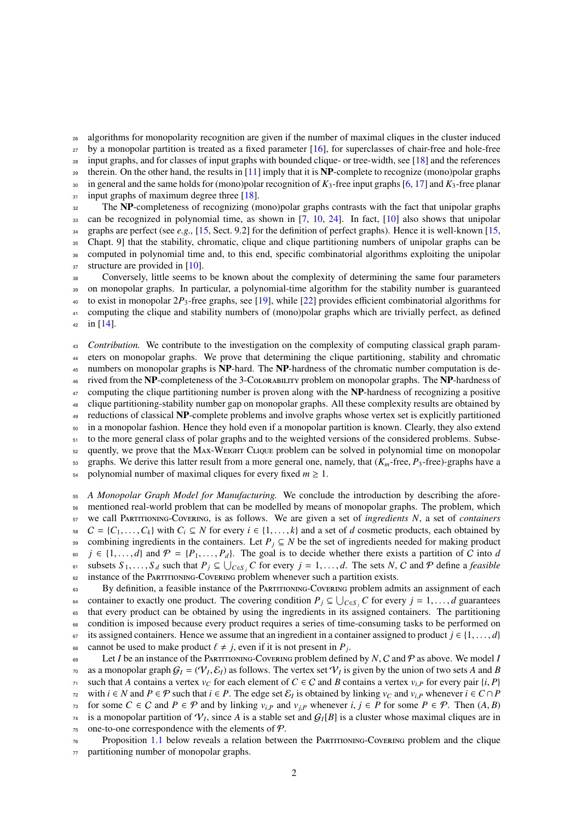<sup>26</sup> algorithms for monopolarity recognition are given if the number of maximal cliques in the cluster induced

<sup>27</sup> by a monopolar partition is treated as a fixed parameter [\[16\]](#page-7-6), for superclasses of chair-free and hole-free

<sup>28</sup> input graphs, and for classes of input graphs with bounded clique- or tree-width, see [\[18\]](#page-7-10) and the references

<sup>29</sup> therein. On the other hand, the results in [\[11\]](#page-7-11) imply that it is  $NP$ -complete to recognize (mono)polar graphs <sup>30</sup> in general and the same holds for (mono)polar recognition of *K*3-free input graphs [\[6,](#page-7-12) [17\]](#page-7-13) and *K*3-free planar

 $_{31}$  input graphs of maximum degree three [\[18\]](#page-7-10).

<sup>32</sup> The NP-completeness of recognizing (mono)polar graphs contrasts with the fact that unipolar graphs can be recognized in polynomial time, as shown in [\[7,](#page-7-3) [10,](#page-7-4) [24\]](#page-7-5). In fact, [\[10\]](#page-7-4) also shows that unipolar graphs are perfect (see *e.g.,* [\[15,](#page-7-14) Sect. 9.2] for the definition of perfect graphs). Hence it is well-known [\[15,](#page-7-14) Chapt. 9] that the stability, chromatic, clique and clique partitioning numbers of unipolar graphs can be computed in polynomial time and, to this end, specific combinatorial algorithms exploiting the unipolar 37 structure are provided in [\[10\]](#page-7-4).

<sup>38</sup> Conversely, little seems to be known about the complexity of determining the same four parameters <sup>39</sup> on monopolar graphs. In particular, a polynomial-time algorithm for the stability number is guaranteed <sup>40</sup> to exist in monopolar 2*P*3-free graphs, see [\[19\]](#page-7-15), while [\[22\]](#page-7-16) provides efficient combinatorial algorithms for <sup>41</sup> computing the clique and stability numbers of (mono)polar graphs which are trivially perfect, as defined 42 in  $[14]$ .

<sup>43</sup> *Contribution.* We contribute to the investigation on the complexity of computing classical graph param-<sup>44</sup> eters on monopolar graphs. We prove that determining the clique partitioning, stability and chromatic <sup>45</sup> numbers on monopolar graphs is NP-hard. The NP-hardness of the chromatic number computation is de-<sup>46</sup> rived from the NP-completeness of the 3-Colorability problem on monopolar graphs. The NP-hardness of  $47$  computing the clique partitioning number is proven along with the **NP**-hardness of recognizing a positive <sup>48</sup> clique partitioning-stability number gap on monopolar graphs. All these complexity results are obtained by <sup>49</sup> reductions of classical NP-complete problems and involve graphs whose vertex set is explicitly partitioned <sup>50</sup> in a monopolar fashion. Hence they hold even if a monopolar partition is known. Clearly, they also extend  $51$  to the more general class of polar graphs and to the weighted versions of the considered problems. Subse-<sup>52</sup> quently, we prove that the Max-Weight Clique problem can be solved in polynomial time on monopolar 53 graphs. We derive this latter result from a more general one, namely, that  $(K_m$ -free,  $P_3$ -free)-graphs have a polynomial number of maximal cliques for every fixed  $m > 1$ . polynomial number of maximal cliques for every fixed  $m \geq 1$ .

 *A Monopolar Graph Model for Manufacturing.* We conclude the introduction by describing the afore- mentioned real-world problem that can be modelled by means of monopolar graphs. The problem, which we call Partitioning-Covering, is as follows. We are given a set of *ingredients N*, a set of *containers*  $C = \{C_1, \ldots, C_k\}$  with  $C_i \subseteq N$  for every  $i \in \{1, \ldots, k\}$  and a set of *d* cosmetic products, each obtained by<br>59 combining ingredients in the containers. Let  $P_i \subseteq N$  be the set of ingredients needed for making produ combining ingredients in the containers. Let  $P_j \subseteq N$  be the set of ingredients needed for making product *j* ∈ {1,...,*d*} and  $\mathcal{P} = \{P_1, \ldots, P_d\}$ . The goal is to decide whether there exists a partition of *C* into *d*<br>51 subsets  $S_1, \ldots, S_d$  such that  $P_i \subseteq \bigcup_{c \in S} C$  for every  $i = 1, \ldots, d$ . The sets *N*, *C* and  $\$ s<sub>1</sub> subsets *S*<sub>1</sub>, ..., *S*<sub>*d*</sub> such that *P*<sub>*j*</sub> ⊆  $\bigcup_{C \in S_j} C$  for every *j* = 1, ..., *d*. The sets *N*, *C* and *P* define a *feasible*<br>instance of the PARTITIONING-Coverant problem whenever such a partition ex <sup>62</sup> instance of the PARTITIONING-COVERING problem whenever such a partition exists.

<sup>63</sup> By definition, a feasible instance of the Partitioning-Covering problem admits an assignment of each container to exactly one product. The covering condition  $P_j \subseteq \bigcup_{C \in S_j} C$  for every  $j = 1, \ldots, d$  guarantees<br>that every product can be obtained by using the ingredients in its assigned containers. The partitioning <sup>65</sup> that every product can be obtained by using the ingredients in its assigned containers. The partitioning <sup>66</sup> condition is imposed because every product requires a series of time-consuming tasks to be performed on 67 its assigned containers. Hence we assume that an ingredient in a container assigned to product *j* ∈ {1, ..., *d*} cannot be used to make product  $l \neq i$ , even if it is not present in *P*. cannot be used to make product  $\ell \neq j$ , even if it is not present in  $P_j$ .<br>  $I$  et *I* be an instance of the PARTITIONING-COVERING problem define

<sup>69</sup> Let *I* be an instance of the Partitioning-Covering problem defined by *N*, C and P as above. We model *I* as a monopolar graph  $G_I = (V_I, \mathcal{E}_I)$  as follows. The vertex set  $V_I$  is given by the union of two sets *A* and *B*<br>zetable that *A* contains a vertex vector each element of  $C \in C$  and *B* contains a vertex vector pair *γ*<sub>1</sub> such that *A* contains a vertex *v<sub>C</sub>* for each element of *C* ∈ *C* and *B* contains a vertex *v<sub>i,</sub>P* for every pair {*i*, *P*} with *i* ∈ *N* and *P* ∈ *P* such that *i* ∈ *P*. The edge set  $\mathcal{E}_I$  is obtaine *n*<sub>2</sub> with *i* ∈ *N* and *P* ∈  $P$  such that *i* ∈ *P*. The edge set  $\mathcal{E}_I$  is obtained by linking  $v_C$  and  $v_{i,P}$  whenever *i* ∈ *C* ∩ *P* for some *P* ∈  $P$ . Then  $(A, P)$ *r*<sup>3</sup> for some *C* ∈ *C* and *P* ∈ *P* and by linking  $v_{i,P}$  and  $v_{j,P}$  whenever *i*, *j* ∈ *P* for some *P* ∈ *P*. Then  $(A, B)$  is a monopolar partition of  $V_I$ , since *A* is a stable set and  $G_I[B]$  is a cluster whose  $\tau$ <sup>4</sup> is a monopolar partition of  $\mathcal{V}_I$ , since *A* is a stable set and  $\mathcal{G}_I[B]$  is a cluster whose maximal cliques are in  $75$  one-to-one correspondence with the elements of  $P$ .

<sup>76</sup> Proposition [1.1](#page-2-0) below reveals a relation between the Partitioning-Covering problem and the clique <sup>77</sup> partitioning number of monopolar graphs.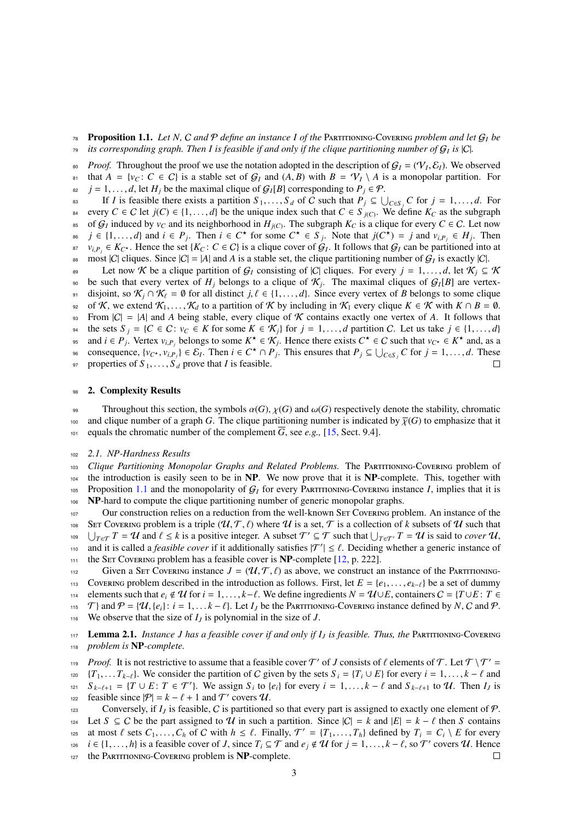<span id="page-2-0"></span> $78$  **Proposition 1.1.** Let N, C and P define an instance I of the PARTITIONING-COVERING problem and let  $G_l$  be *its corresponding graph. Then I is feasible if and only if the clique partitioning number of* G*<sup>I</sup>* <sup>79</sup> *is* |C|*.*

*Proof.* Throughout the proof we use the notation adopted in the description of  $G_I = (\mathcal{V}_I, \mathcal{E}_I)$ . We observed<br>that  $A = \{y_G : G \in \mathcal{C}\}$  is a stable set of  $G_I$  and  $(A, B)$  with  $B = \mathcal{V}_I \setminus A$  is a monopolar partition. 81 that  $A = \{v_C : C \in C\}$  is a stable set of  $G_I$  and  $(A, B)$  with  $B = \mathcal{V}_I \setminus A$  is a monopolar partition. For  $i \in I$ ,  $\ldots, d$ , let  $H_i$  be the maximal clique of  $G_I[B]$  corresponding to  $P_i \in \mathcal{P}$ . 82 *j* = 1, ..., *d*, let *H<sub>j</sub>* be the maximal clique of  $G_I[B]$  corresponding to  $P_j \in \mathcal{P}$ .<br>
If *I* is feasible there exists a partition  $S_J = S_J$  of *C* such that  $P_j \subset \mathcal{P}$ .

83 If *I* is feasible there exists a partition *S*<sub>1</sub>, ..., *S*<sub>*d*</sub> of *C* such that  $P_j \subseteq \bigcup_{C \in S_j} C$  for *j* = 1, ..., *d*. For  $S \subseteq C$  let  $i(C) \in \{1, \ldots, d\}$  be the unique index such that  $C \in S \times \mathbb{R}$ . We define  $K_C$ every *C* ∈ *C* let *j*(*C*) ∈ {1,...,*d*} be the unique index such that *C* ∈ *S j*(*C*). We define  $K_C$  as the subgraph<br>of *G*, induced by  $v_G$  and its neighborhood in  $H_{UCD}$ . The subgraph  $K_C$  is a clique for ever  $\epsilon_{\rm s}$  of  $\mathcal{G}_I$  induced by  $v_C$  and its neighborhood in  $H_{j(C)}$ . The subgraph  $K_C$  is a clique for every  $C \in \mathcal{C}$ . Let now  $i \in \{1, ..., d\}$  and  $i \in P_j$ . Then  $i \in C^*$  for some  $C^* \in S_j$ . Note that  $j(C^*) = j$  and  $v_{i,P_j} \in H_j$ . Then<br> $i \in K_{i,j}$ . Hence the set  $\{K_{i,j}, C \in C\}$  is a clique cover of  $G_j$ . It follows that  $G_j$  can be partitioned into at *v*<sub>*i*</sub>,  $\varphi$ <sub>*i*</sub>  $\varphi$ <sub>*i*</sub> ∈ *K*<sub>*C*</sub><sup> $\star$ </sup>. Hence the set {*K<sub>C</sub>* : *C* ∈ *C*} is a clique cover of G<sub>*I*</sub>. It follows that G<sub>*I*</sub> can be partitioned into at most [*C*] eliques. Since [*C*] = [4] and A is a stable s  $\text{cos}$  most |C| cliques. Since  $|C| = |A|$  and A is a stable set, the clique partitioning number of  $G_I$  is exactly |C|.

89 Let now K be a clique partition of  $G_I$  consisting of  $|C|$  cliques. For every  $j = 1, ..., d$ , let  $K_j \subseteq K$ <br>80 be such that every vertex of H<sub>i</sub> belongs to a clique of K<sub>i</sub>. The maximal cliques of  $G_I[B]$  are vertexbe such that every vertex of  $H_j$  belongs to a clique of  $\mathcal{K}_j$ . The maximal cliques of  $\mathcal{G}_I[B]$  are vertex-91 disjoint, so  $\mathcal{K}_j \cap \mathcal{K}_\ell = \emptyset$  for all distinct *j*,  $\ell \in \{1, ..., d\}$ . Since every vertex of *B* belongs to some clique of  $\mathcal{K}$ , we extend  $\mathcal{K}_1, ..., \mathcal{K}_d$  to a partition of  $\mathcal{K}$  by including in  $\mathcal{K}_1$ 92 of K, we extend  $\mathcal{K}_1, \ldots, \mathcal{K}_d$  to a partition of K by including in  $\mathcal{K}_1$  every clique  $K \in \mathcal{K}$  with  $K \cap B = \emptyset$ .<br>
93 From |C| = |A| and A being stable, every clique of K contains exactly one vertex of A. From  $|C| = |A|$  and *A* being stable, every clique of *K* contains exactly one vertex of *A*. It follows that 94 the sets  $S_j = \{C \in C : v_C \in K \text{ for some } K \in \mathcal{K}_j\}$  for  $j = 1, ..., d$  partition C. Let us take  $j \in \{1, ..., d\}$ <br>95 and  $i \in P$ . Vertex  $v_{i,p}$  belongs to some  $K^* \in \mathcal{K}_i$ . Hence there exists  $C^* \in C$  such that  $v_{i,p} \in K^*$  and, a and  $i \in P_j$ . Vertex  $v_{i,P_j}$  belongs to some  $K^* \in \mathcal{K}_j$ . Hence there exists  $C^* \in C$  such that  $v_{C^*} \in K^*$  and, as a concentration of  $\mathcal{L}_j$ . Then  $i \in C^* \cap P_j$ . This ansume that  $P_j \subseteq \Box$   $\Box$   $\Box$   $\Box$   $\Box$   $\Box$  s consequence,  $\{v_{C^*}, v_{i,P_j}\} \in \mathcal{E}_I$ . Then  $i \in C^* \cap P_j$ . This ensures that  $P_j \subseteq \bigcup_{C \in S_j} C$  for  $j = 1, ..., d$ . These

97 properties of  $S_1, \ldots, S_d$  prove that *I* is feasible.

## 98 2. Complexity Results

99 Throughout this section, the symbols  $\alpha(G)$ ,  $\chi(G)$  and  $\omega(G)$  respectively denote the stability, chromatic and clique number of a graph *G*. The clique partitioning number is indicated by  $\overline{\chi}(G)$  to emphasize that 100 and clique number of a graph *G*. The clique partitioning number is indicated by  $\overline{\chi}(G)$  to emphasize that it equals the chromatic number of the complement  $\overline{G}$ , see e.g., [15, Sect. 9.4]. equals the chromatic number of the complement  $\overline{G}$ , see *e.g.*, [\[15,](#page-7-14) Sect. 9.4].

#### <sup>102</sup> *2.1. NP-Hardness Results*

 *Clique Partitioning Monopolar Graphs and Related Problems.* The Partitioning-Covering problem of the introduction is easily seen to be in NP. We now prove that it is NP-complete. This, together with 105 Proposition [1.1](#page-2-0) and the monopolarity of  $G_I$  for every PARTITIONING-COVERING instance *I*, implies that it is NP-hard to compute the clique partitioning number of generic monopolar graphs.

107 Our construction relies on a reduction from the well-known SET Covering problem. An instance of the 108 SET COVERING problem is a triple  $(\mathcal{U}, \mathcal{T}, \ell)$  where  $\mathcal{U}$  is a set,  $\mathcal{T}$  is a collection of *k* subsets of  $\mathcal{U}$  such that  $|\cdot|_{T \cap \mathcal{T}} T = \mathcal{U}$  and  $\ell \le k$  is a positive integer. A subset  $\mathcal{T}' \subseteq \mathcal{T}$ <sup>109</sup>  $\bigcup_{T \in \mathcal{T}} T = \mathcal{U}$  and  $\ell \leq k$  is a positive integer. A subset  $\mathcal{T}' \subseteq \mathcal{T}$  such that  $\bigcup_{T \in \mathcal{T}'} T = \mathcal{U}$  is said to *cover*  $\mathcal{U}$ ,<br>and it is called a *feasible cover* if it additionally satisfies  $|\math$ and it is called a *feasible cover* if it additionally satisfies  $|T'| \leq \ell$ . Deciding whether a generic instance of the SET Covering problem has a feasible cover is **NP**-complete [12, p. 222] 111 the SET COVERING problem has a feasible cover is  $NP$ -complete  $[12, p. 222]$  $[12, p. 222]$ .

112 Given a SET Covering instance  $J = (\mathcal{U}, \mathcal{T}, \ell)$  as above, we construct an instance of the PARTITIONING-<br>113 Covering problem described in the introduction as follows. First, let  $E = \{e_1, \dots, e_{k-\ell}\}\$  be a set of dummy 113 Covering problem described in the introduction as follows. First, let  $E = \{e_1, \ldots, e_{k-\ell}\}$  be a set of dummy elements such that  $e_i \notin U$  for  $i = 1, \ldots, k-\ell$ . We define ingredients  $N = U \cup E$ , containers  $C = \{T \cup E : T \in E\}$ t<sup>114</sup> elements such that *e<sub>i</sub>* ∉ **U** for *i* = 1, ..., *k*−*l*. We define ingredients *N* = **U**∪*E*, containers *C* = {*T*∪*E* : *T* ∈  $\overline{T}$ } and  $P = \{U, \{e_i\} : i = 1, ..., k - l\}$ . Let *I<sub>t</sub>* be the PARTITIONING-COVERING i 115 T} and  $P = \{U, \{e_i\}: i = 1, \ldots, k - \ell\}$ . Let *I<sub>J</sub>* be the PARTITIONING-COVERING instance defined by *N*, *C* and  $P$ .<br><sup>116</sup> We observe that the size of *I<sub>J</sub>* is polynomial in the size of *J*. We observe that the size of  $I_J$  is polynomial in the size of  $J$ .

<span id="page-2-1"></span><sup>117</sup> Lemma 2.1. *Instance J has a feasible cover if and only if I<sup>J</sup> is feasible. Thus, the* Partitioning-Covering <sup>118</sup> *problem is* NP*-complete.*

*Proof.* It is not restrictive to assume that a feasible cover  $T'$  of *J* consists of  $\ell$  elements of  $\mathcal{T}$ . Let  $\mathcal{T} \setminus \mathcal{T}' = T$ .

<sup>120</sup> {*T*<sub>1</sub>, . . . *T*<sub>*k*− $\ell$ </sub>}. We consider the partition of *C* given by the sets *S*<sub>*i*</sub> = {*T*<sub>*i*</sub> ∪ *E*} for every *i* = 1, . . . , *k* −  $\ell$  and  $S$  *k*− $\ell$ <sub>*i*</sub>+1</sub> to *U*. Then *I<sub>I</sub>* is <sup>121</sup>  $S_{k-\ell+1} = \{T \cup E : T \in \mathcal{T}'\}$ . We assign  $S_i$  to  $\{e_i\}$  for every  $i = 1, ..., k - \ell$  and  $S_{k-\ell+1}$  to U. Then *I<sub>J</sub>* is feasible since  $|\mathcal{P}| = k - \ell + 1$  and  $\mathcal{T}'$  covers  $\mathcal{U}$ .

feasible since  $|\mathcal{P}| = k - \ell + 1$  and T' covers U. 123 Conversely, if  $I_J$  is feasible, C is partitioned so that every part is assigned to exactly one element of P.

124 Let *S* ⊆ *C* be the part assigned to *U* in such a partition. Since  $|C| = k$  and  $|E| = k - \ell$  then *S* contains at most  $\ell$  sets  $C_1, \ldots, C_h$  of *C* with  $h \leq \ell$ . Finally,  $\mathcal{T}' = \{T_1, \ldots, T_h\}$  defined by  $T_i = C_i \setminus E$ 

at most  $\ell$  sets  $C_1, \ldots, C_h$  of C with  $h \leq \ell$ . Finally,  $\mathcal{T}' = \{T_1, \ldots, T_h\}$  defined by  $T_i = C_i \setminus E$  for every<br>i.e.  $i \in \{1, \ldots, h\}$  is a feasible cover of L since  $T_i \subseteq \mathcal{T}$  and  $e_i \notin \mathcal{U}$  for  $i-1, \ldots, k-\ell$  so  $\$ *i i* ∈ {1, ..., *h*} is a feasible cover of *J*, since  $T_i \subseteq T$  and  $e_j \notin U$  for  $j = 1, ..., k - \ell$ , so  $T'$  covers  $U$ . Hence

127 the PARTITIONING-COVERING problem is NP-complete.

 $\Box$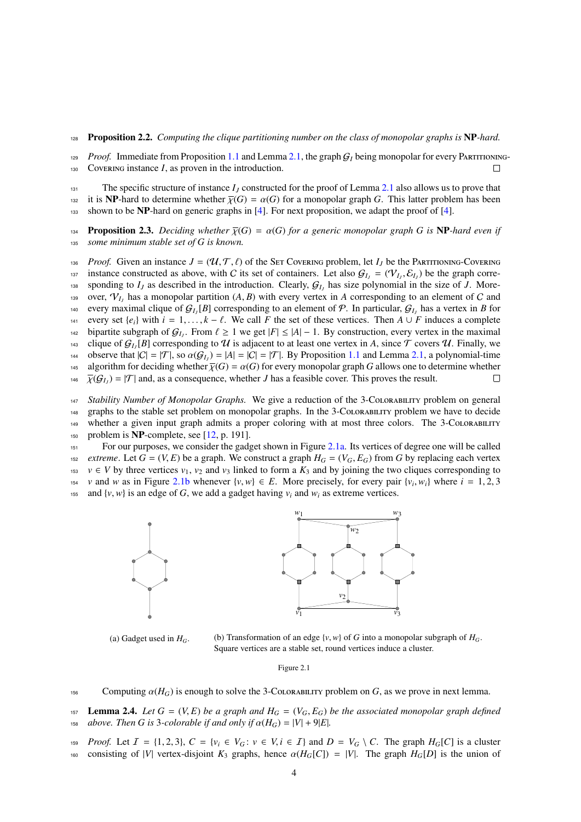## <sup>128</sup> Proposition 2.2. *Computing the clique partitioning number on the class of monopolar graphs is* NP*-hard.*

 $129$  *Proof.* Immediate from Proposition [1.1](#page-2-0) and Lemma [2.1,](#page-2-1) the graph  $G_I$  being monopolar for every PARTITIONING-<sup>130</sup> Covering instance *I*, as proven in the introduction.

131 The specific structure of instance  $I_J$  constructed for the proof of Lemma [2.1](#page-2-1) also allows us to prove that 132 it is **NP**-hard to determine whether  $\overline{\chi}(G) = \alpha(G)$  for a monopolar graph *G*. This latter problem has been<br>133 shown to be **NP**-hard on generic graphs in [4]. For next proposition, we adapt the proof of [4]. shown to be NP-hard on generic graphs in [\[4\]](#page-7-19). For next proposition, we adapt the proof of [4].

**134 Proposition 2.3.** *Deciding whether*  $\overline{\chi}(G) = \alpha(G)$  *for a generic monopolar graph G is* **NP**-*hard even if 135 some minimum stable set of G is known.* some minimum stable set of G is known.

136 *Proof.* Given an instance  $J = (\mathcal{U}, \mathcal{T}, \ell)$  of the SET COVERING problem, let  $I_J$  be the PARTITIONING-COVERING is instance constructed as above, with C its set of containers. Let also  $G_L = (\mathcal{V}_L, \mathcal{S}_L)$  be the gr instance constructed as above, with C its set of containers. Let also  $G_l$  =  $(\mathcal{V}_l, \mathcal{E}_l)$  be the graph corre-<br>sponding to *I<sub>z</sub>* as described in the introduction. Clearly  $G_t$  has size polynomial in the size of *I*. sponding to  $I_J$  as described in the introduction. Clearly,  $G_{I_J}$  has size polynomial in the size of *J*. Moreover,  $V_{I_J}$  has a monopolar partition  $(A, B)$  with every vertex in *A* corresponding to an element of *C* and  $\alpha$ , every maximal clique of  $G_J$  [R] corresponding to an element of  $P$ . In particular  $G_J$  has a vertex in every maximal clique of  $G_{I_J}[B]$  corresponding to an element of P. In particular,  $G_{I_J}$  has a vertex in *B* for 141 every set  $\{e_i\}$  with  $i = 1, ..., k - \ell$ . We call *F* the set of these vertices. Then *A* ∪ *F* induces a complete<br>142 bipartite subgraph of  $G_i$ . From  $\ell > 1$  we get  $|F| < |A| - 1$ . By construction, every vertex in the ma bipartite subgraph of  $G_J$ . From  $\ell \ge 1$  we get  $|F| \le |A| - 1$ . By construction, every vertex in the maximal  $\ell$  covers  $G$ ,  $[R]$  corresponding to  $H$  is adjacent to at least one vertex in A, since  $\mathcal T$  covers  $\mathcal T$ . <sup>143</sup> clique of  $G_{I_J}[B]$  corresponding to  $U$  is adjacent to at least one vertex in *A*, since  $\mathcal T$  covers  $U$ . Finally, we observe that  $|C| = |\mathcal{T}|$ , so  $\alpha(G_I) = |A| = |C| = |\mathcal{T}|$ . By Proposition [1.1](#page-2-0) and Lemma [2.1,](#page-2-1) a polynomial-time<br>the algorithm for deciding whether  $\overline{\psi}(G) = \alpha(G)$  for every monopolar graph G allows one to determine whether 145 algorithm for deciding whether  $\overline{\chi}(G) = \alpha(G)$  for every monopolar graph *G* allows one to determine whether  $\overline{\chi}(G_L) = |\mathcal{T}|$  and, as a consequence, whether *J* has a feasible cover. This proves the result. <sup>146</sup>  $\overline{\chi}(\mathcal{G}_{I_J}) = |\mathcal{T}|$  and, as a consequence, whether *J* has a feasible cover. This proves the result.

*Stability Number of Monopolar Graphs*. We give a reduction of the 3-CoLORABILITY problem on general graphs to the stable set problem on monopolar graphs. In the 3-Colorability problem we have to decide whether a given input graph admits a proper coloring with at most three colors. The 3-Colorability 150 problem is  $NP$ -complete, see [\[12,](#page-7-18) p. 191].

<sup>151</sup> For our purposes, we consider the gadget shown in Figure [2.1a.](#page-3-0) Its vertices of degree one will be called <sup>152</sup> *extreme*. Let *G* = (*V*, *E*) be a graph. We construct a graph  $H_G = (V_G, E_G)$  from *G* by replacing each vertex  $v \in V$  by three vertices  $v_1, v_2$  and  $v_3$  linked to form a  $K_3$  and by joining the two cliques corr  $v \in V$  by three vertices  $v_1, v_2$  and  $v_3$  linked to form a  $K_3$  and by joining the two cliques corresponding to *v* and *w* as in Figure [2.1b](#page-3-0) whenever  $\{v, w\} \in E$ . More precisely, for every pair  $\{v_i, w_i\}$  where  $i = 1, 2, 3$ 155 and  $\{v, w\}$  is an edge of *G*, we add a gadget having  $v_i$  and  $w_i$  as extreme vertices.

<span id="page-3-0"></span>

(a) Gadget used in  $H_G$ .



(b) Transformation of an edge  $\{v, w\}$  of *G* into a monopolar subgraph of  $H_G$ . Square vertices are a stable set, round vertices induce a cluster.

Figure 2.1

<sup>156</sup> Computing  $α(H<sub>G</sub>)$  is enough to solve the 3-Colorability problem on *G*, as we prove in next lemma.

<span id="page-3-1"></span>157 **Lemma 2.4.** *Let*  $G = (V, E)$  *be a graph and*  $H_G = (V_G, E_G)$  *be the associated monopolar graph defined* 158 *above. Then* G is 3-colorable if and only if  $\alpha(H_G) = |V| + 9|E|$ . *above. Then G is* 3*-colorable if and only if*  $\alpha(H_G) = |V| + 9|E|$ .

*Proof.* Let  $I = \{1, 2, 3\}$ ,  $C = \{v_i \in V_G : v \in V, i \in I\}$  and  $D = V_G \setminus C$ . The graph  $H_G[C]$  is a cluster consisting of |V| vertex-disjoint  $K_3$  graphs, hence  $\alpha(H_G[C]) = |V|$ . The graph  $H_G[D]$  is the union of

consisting of |*V*| vertex-disjoint  $K_3$  graphs, hence  $\alpha(H_G[C]) = |V|$ . The graph  $H_G[D]$  is the union of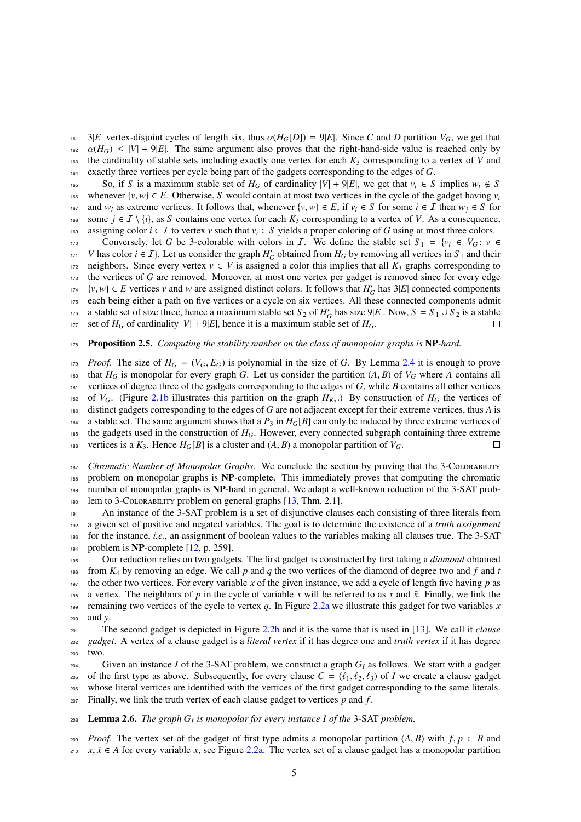161 3|*E*| vertex-disjoint cycles of length six, thus  $\alpha(H_G[D]) = 9|E|$ . Since *C* and *D* partition  $V_G$ , we get that  $\alpha(H_G) < |V| + 9|E|$ . The same argument also proves that the right-hand-side value is reached only by 162  $\alpha(H_G) \le |V| + 9|E|$ . The same argument also proves that the right-hand-side value is reached only by the cardinality of stable sets including exactly one vertex for each  $K_3$  corresponding to a vertex of V and the cardinality of stable sets including exactly one vertex for each  $K_3$  corresponding to a vertex of *V* and <sup>164</sup> exactly three vertices per cycle being part of the gadgets corresponding to the edges of *G*.

165 So, if *S* is a maximum stable set of *H<sub>G</sub>* of cardinality  $|V| + 9|E|$ , we get that *v<sub>i</sub>* ∈ *S* implies *w<sub>i</sub>* ∉ *S* whenever  $\{v, w\} \in E$ . Otherwise, *S* would contain at most two vertices in the cycle of the gadget having  $v_i$ 166 167 and *w<sub>i</sub>* as extreme vertices. It follows that, whenever  $\{v, w\} \in E$ , if  $v_i \in S$  for some *i* ∈ *I* then  $w_j \in S$  for some *i* ∈ *I* \  $\{i\}$ , as *S* contains one vertex for each  $K_3$  corresponding to a vertex of some *j* ∈ *I* \ {*i*}, as *S* contains one vertex for each  $K_3$  corresponding to a vertex of *V*. As a consequence, 169 assigning color  $i \in I$  to vertex *v* such that  $v_i \in S$  yields a proper coloring of *G* using at most three colors.

170 Conversely, let *G* be 3-colorable with colors in *I*. We define the stable set  $S_1 = \{v_i \in V_G : v \in$ *V* has color  $i \in I$ . Let us consider the graph  $H'_G$  obtained from  $H_G$  by removing all vertices in  $S_1$  and their 172 neighbors. Since every vertex  $v \in V$  is assigned a color this implies that all  $K_3$  graphs corresponding to 173 the vertices of *G* are removed. Moreover, at most one vertex per gadget is removed since for every edge  $v, w$ } ∈ *E* vertices *v* and *w* are assigned distinct colors. It follows that  $H'_G$  has 3|*E*| connected components <sup>175</sup> each being either a path on five vertices or a cycle on six vertices. All these connected components admit a stable set of size three, hence a maximum stable set  $S_2$  of  $H'_G$  has size 9|*E*|. Now,  $S = S_1 \cup S_2$  is a stable 177 set of  $H_G$  of cardinality  $|V| + 9|E|$ , hence it is a maximum stable set of  $H_G$ .  $\Box$ 

## <sup>178</sup> Proposition 2.5. *Computing the stability number on the class of monopolar graphs is* NP*-hard.*

*Proof.* The size of  $H_G = (V_G, E_G)$  is polynomial in the size of *G*. By Lemma [2.4](#page-3-1) it is enough to prove that  $H_G$  is monopolar for every graph *G*. Let us consider the partition (*A*, *B*) of  $V_G$  where *A* contains all that  $H_G$  is monopolar for every graph *G*. Let us consider the partition  $(A, B)$  of  $V_G$  where *A* contains all vertices of degree three of the gadgets corresponding to the edges of *G*, while *B* contains all other verti <sup>181</sup> vertices of degree three of the gadgets corresponding to the edges of *G*, while *B* contains all other vertices <sup>182</sup> of  $V_G$ . (Figure [2.1b](#page-3-0) illustrates this partition on the graph  $H_{K_2}$ .) By construction of  $H_G$  the vertices of <sup>183</sup> distinct gadgets corresponding to the edges of *G* are not adjacent except for their extreme vertices, thus *A* is 184 a stable set. The same argument shows that a  $P_3$  in  $H_G[B]$  can only be induced by three extreme vertices of <sup>185</sup> the gadgets used in the construction of *HG*. However, every connected subgraph containing three extreme 186 vertices is a  $K_3$ . Hence  $H_G[B]$  is a cluster and  $(A, B)$  a monopolar partition of  $V_G$ .  $\Box$ 

*Chromatic Number of Monopolar Graphs.* We conclude the section by proving that the 3-COLORABILITY problem on monopolar graphs is NP-complete. This immediately proves that computing the chromatic number of monopolar graphs is NP-hard in general. We adapt a well-known reduction of the 3-SAT prob-190 lem to 3-Colorability problem on general graphs [\[13,](#page-7-20) Thm. 2.1].

191 An instance of the 3-SAT problem is a set of disjunctive clauses each consisting of three literals from <sup>192</sup> a given set of positive and negated variables. The goal is to determine the existence of a *truth assignment* <sup>193</sup> for the instance, *i.e.,* an assignment of boolean values to the variables making all clauses true. The 3-SAT 194 problem is  $NP$ -complete [\[12,](#page-7-18) p. 259].

<sup>195</sup> Our reduction relies on two gadgets. The first gadget is constructed by first taking a *diamond* obtained 196 from  $K_4$  by removing an edge. We call p and q the two vertices of the diamond of degree two and f and t 197 the other two vertices. For every variable x of the given instance, we add a cycle of length five having  $p$  as 198 a vertex. The neighbors of *p* in the cycle of variable *x* will be referred to as *x* and  $\bar{x}$ . Finally, we link the <sup>199</sup> remaining two vertices of the cycle to vertex *q*. In Figure [2.2a](#page-5-0) we illustrate this gadget for two variables *x* <sup>200</sup> and *y*.

<sup>201</sup> The second gadget is depicted in Figure [2.2b](#page-5-0) and it is the same that is used in [\[13\]](#page-7-20). We call it *clause* <sup>202</sup> *gadget*. A vertex of a clause gadget is a *literal vertex* if it has degree one and *truth vertex* if it has degree <sup>203</sup> two.

<sup>204</sup> Given an instance *I* of the 3-SAT problem, we construct a graph *G<sup>I</sup>* as follows. We start with a gadget <sup>205</sup> of the first type as above. Subsequently, for every clause  $C = (\ell_1, \ell_2, \ell_3)$  of *I* we create a clause gadget whose literal vertices are identified with the vertices of the first gadget corresponding to the same l whose literal vertices are identified with the vertices of the first gadget corresponding to the same literals. <sup>207</sup> Finally, we link the truth vertex of each clause gadget to vertices *p* and *f* .

Lemma 2.6. *The graph G<sup>I</sup>* <sup>208</sup> *is monopolar for every instance I of the* 3-SAT *problem.*

*Proof.* The vertex set of the gadget of first type admits a monopolar partition  $(A, B)$  with  $f, p \in B$  and  $x, \bar{x} \in A$  for every variable x, see Figure 2.2a. The vertex set of a clause gadget has a monopolar partition  $x, \overline{x} \in A$  for every variable *x*, see Figure [2.2a.](#page-5-0) The vertex set of a clause gadget has a monopolar partition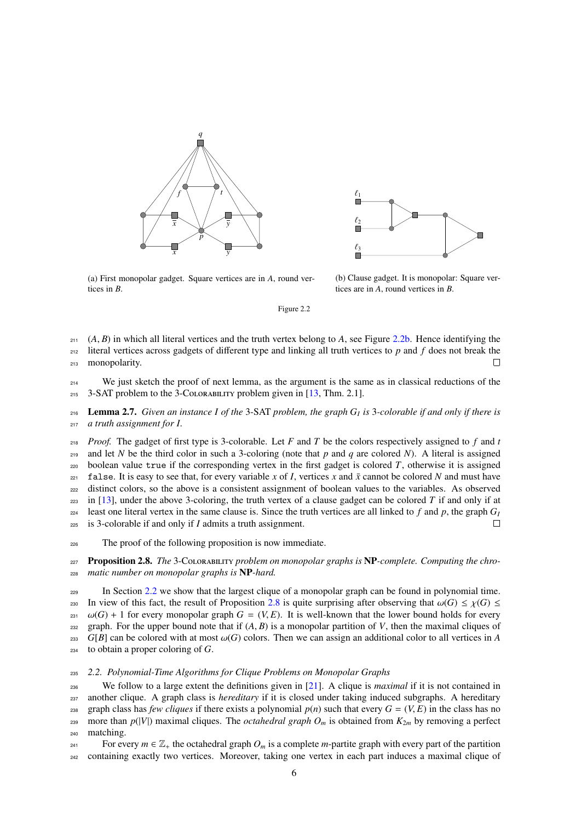<span id="page-5-0"></span>



(a) First monopolar gadget. Square vertices are in *A*, round vertices in *B*.

(b) Clause gadget. It is monopolar: Square vertices are in *A*, round vertices in *B*.

Figure 2.2

211 (*A*, *B*) in which all literal vertices and the truth vertex belong to *A*, see Figure [2.2b.](#page-5-0) Hence identifying the literal vertices across gadgets of different type and linking all truth vertices to *p* and *f* does <sup>212</sup> literal vertices across gadgets of different type and linking all truth vertices to *p* and *f* does not break the <sup>213</sup> monopolarity.  $\Box$ 

<sup>214</sup> We just sketch the proof of next lemma, as the argument is the same as in classical reductions of the 215 3-SAT problem to the 3-COLORABILITY problem given in  $[13, Thm. 2.1]$  $[13, Thm. 2.1]$ .

Lemma 2.7. *Given an instance I of the* 3-SAT *problem, the graph G<sup>I</sup>* <sup>216</sup> *is* 3*-colorable if and only if there is* <sup>217</sup> *a truth assignment for I.*

<sup>218</sup> *Proof.* The gadget of first type is 3-colorable. Let *F* and *T* be the colors respectively assigned to *f* and *t* 219 and let *N* be the third color in such a 3-coloring (note that  $p$  and  $q$  are colored *N*). A literal is assigned 220 boolean value true if the corresponding vertex in the first gadget is colored  $T$ , otherwise it is assigned  $z_{21}$  false. It is easy to see that, for every variable *x* of *I*, vertices *x* and  $\bar{x}$  cannot be colored *N* and must have <sup>222</sup> distinct colors, so the above is a consistent assignment of boolean values to the variables. As observed  $_{223}$  in [\[13\]](#page-7-20), under the above 3-coloring, the truth vertex of a clause gadget can be colored *T* if and only if at least one literal vertex in the same clause is. Since the truth vertices are all linked to  $f$  and  $p$ , the graph  $G_I$  $224$ <sup>225</sup> is 3-colorable if and only if *I* admits a truth assignment.  $\Box$ 

<sup>226</sup> The proof of the following proposition is now immediate.

<span id="page-5-2"></span><sup>227</sup> Proposition 2.8. *The* 3-Colorability *problem on monopolar graphs is* NP*-complete. Computing the chro-*<sup>228</sup> *matic number on monopolar graphs is* NP*-hard.*

<sup>229</sup> In Section [2.2](#page-5-1) we show that the largest clique of a monopolar graph can be found in polynomial time. 230 In view of this fact, the result of Proposition [2.8](#page-5-2) is quite surprising after observing that  $\omega(G) \leq \chi(G) \leq \omega(G) + 1$  for every monopolar graph  $G = (V, E)$ . It is well-known that the lower bound holds for every  $\omega(G)$  + 1 for every monopolar graph *G* = (*V*, *E*). It is well-known that the lower bound holds for every graph. For the upper bound note that if (*A*, *B*) is a monopolar partition of *V*, then the maximal cliques of 232 graph. For the upper bound note that if  $(A, B)$  is a monopolar partition of *V*, then the maximal cliques of  $G[B]$  can be colored with at most  $\omega(G)$  colors. Then we can assign an additional color to all vertices in A  $G[B]$  can be colored with at most  $\omega(G)$  colors. Then we can assign an additional color to all vertices in *A*  $\omega(G)$  coloring of *G*. to obtain a proper coloring of *G*.

# <span id="page-5-1"></span><sup>235</sup> *2.2. Polynomial-Time Algorithms for Clique Problems on Monopolar Graphs*

<sup>236</sup> We follow to a large extent the definitions given in [\[21\]](#page-7-21). A clique is *maximal* if it is not contained in <sup>237</sup> another clique. A graph class is *hereditary* if it is closed under taking induced subgraphs. A hereditary 238 graph class has *few cliques* if there exists a polynomial  $p(n)$  such that every  $G = (V, E)$  in the class has no<br>239 more than  $p(|V|)$  maximal cliques. The *octahedral graph*  $O_m$  is obtained from  $K_{2m}$  by removing a more than  $p(|V|)$  maximal cliques. The *octahedral graph*  $O_m$  is obtained from  $K_{2m}$  by removing a perfect <sup>240</sup> matching.

For every  $m \in \mathbb{Z}_+$  the octahedral graph  $O_m$  is a complete *m*-partite graph with every part of the partition <sup>242</sup> containing exactly two vertices. Moreover, taking one vertex in each part induces a maximal clique of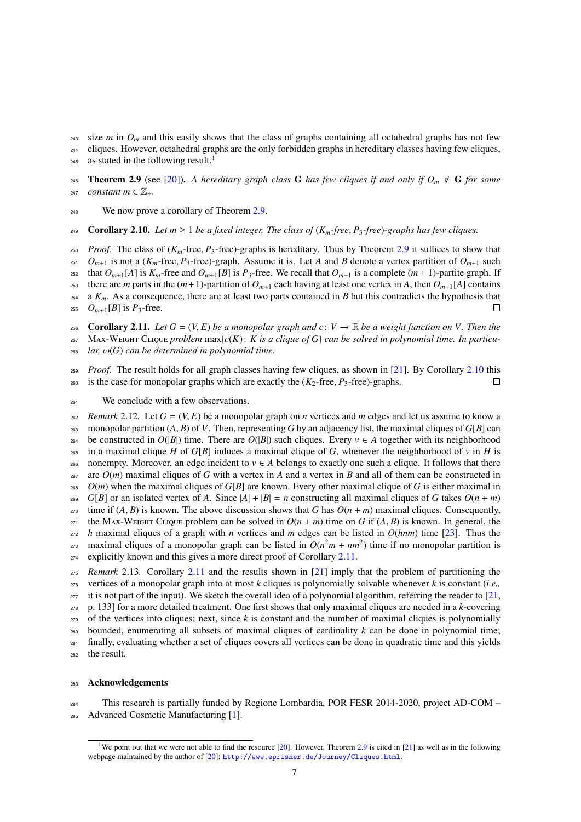$243$  size *m* in  $O_m$  and this easily shows that the class of graphs containing all octahedral graphs has not few <sup>244</sup> cliques. However, octahedral graphs are the only forbidden graphs in hereditary classes having few cliques, as stated in the following result.<sup>[1](#page-6-0)</sup> 245

<span id="page-6-1"></span>**246** Theorem 2.9 (see [\[20\]](#page-7-22)). A hereditary graph class G has few cliques if and only if  $O_m \notin G$  for some 247 *constant*  $m \in \mathbb{Z}_+$ .

<sup>248</sup> We now prove a corollary of Theorem [2.9.](#page-6-1)

<span id="page-6-2"></span>**249** Corollary 2.10. Let  $m \geq 1$  be a fixed integer. The class of  $(K_m$ -free,  $P_3$ -free)-graphs has few cliques.

*Proof.* The class of  $(K_m$ -free,  $P_3$ -free)-graphs is hereditary. Thus by Theorem [2.9](#page-6-1) it suffices to show that  $Q_{m+1}$  is not a  $(K_m$ -free,  $P_3$ -free)-graph. Assume it is. Let A and B denote a vertex partition of  $Q_{m+1$  $251$  *O*<sub>*m*+1</sub> is not a (*K*<sub>*m*</sub>-free, *P*<sub>3</sub>-free)-graph. Assume it is. Let *A* and *B* denote a vertex partition of *O*<sub>*m*+1</sub> such that *O*<sub>*m*+1</sub>[*A*] is *K*<sub>*m*</sub>-free and *O*<sub>*m*+1</sub>[*B*] is *P*<sub>3</sub>-free. We recall that  $O_{m+1}[A]$  is  $K_m$ -free and  $O_{m+1}[B]$  is  $P_3$ -free. We recall that  $O_{m+1}$  is a complete  $(m+1)$ -partite graph. If <sup>253</sup> there are *m* parts in the  $(m+1)$ -partition of  $O_{m+1}$  each having at least one vertex in *A*, then  $O_{m+1}[A]$  contains  $254$  a  $K_m$ . As a consequence, there are at least two parts contained in *B* but this contradicts the hypothesis that 255  $O_{m+1}[B]$  is  $P_3$ -free.  $\Box$ 

<span id="page-6-3"></span>**256 Corollary 2.11.** *Let*  $G = (V, E)$  *be a monopolar graph and c* :  $V \to \mathbb{R}$  *be a weight function on V. Then the*<br>257 MAX-WEIGHT CLIQUE *problem* max $\{c(K): K \text{ is a clique of } G\}$  can be solved in polynomial time. In particu-Max-Weight Clique *problem*  $max{c(K): K$  *is a clique of G can be solved in polynomial time. In particu-*<sup>258</sup> *lar,* ω(*G*) *can be determined in polynomial time.*

*Proof.* The result holds for all graph classes having few cliques, as shown in [\[21\]](#page-7-21). By Corollary [2.10](#page-6-2) this <sup>260</sup> is the case for monopolar graphs which are exactly the  $(K_2$ -free,  $P_3$ -free)-graphs.  $\Box$ 

<sup>261</sup> We conclude with a few observations.

*zeg Remark* 2.12. Let  $G = (V, E)$  be a monopolar graph on *n* vertices and *m* edges and let us assume to know a monopolar partition  $(A, B)$  of  $V$ . Then, representing  $G$  by an adiacency list, the maximal cliques of  $G[B]$ 263 monopolar partition  $(A, B)$  of *V*. Then, representing *G* by an adjacency list, the maximal cliques of *G*[*B*] can<br>264 be constructed in  $O(|B|)$  time. There are  $O(|B|)$  such cliques. Every  $v \in A$  together with its ne be constructed in  $O(|B|)$  time. There are  $O(|B|)$  such cliques. Every  $v \in A$  together with its neighborhood 265 in a maximal clique *H* of *G*[*B*] induces a maximal clique of *G*, whenever the neighborhood of *v* in *H* is 266 nonempty. Moreover, an edge incident to  $v \in A$  belongs to exactly one such a clique. It follows that there  $267$  are  $O(m)$  maximal cliques of *G* with a vertex in *A* and a vertex in *B* and all of them can be constructed in  $268$  *O(m)* when the maximal cliques of *G*[*B*] are known. Every other maximal clique of *G* is either maximal in  $G[B]$  or an isolated vertex of A. Since  $|A| + |B| = n$  constructing all maximal cliques of G takes  $O(n + m)$ <sup>270</sup> time if  $(A, B)$  is known. The above discussion shows that *G* has  $O(n + m)$  maximal cliques. Consequently,<br><sup>271</sup> the MAx-WEIGHT CLIQUE problem can be solved in  $O(n + m)$  time on *G* if  $(A, B)$  is known. In general, the <sup>271</sup> the Max-Weight Clique problem can be solved in  $O(n + m)$  time on *G* if  $(A, B)$  is known. In general, the <br><sup>272</sup> h maximal cliques of a graph with *n* vertices and *m* edges can be listed in  $O(hnm)$  time [231]. Thus the <sup>272</sup> *h* maximal cliques of a graph with *n* vertices and *m* edges can be listed in *O*(*hnm*) time [\[23\]](#page-7-23). Thus the  $_{273}$  maximal cliques of a monopolar graph can be listed in  $O(n^2m + nm^2)$  time if no monopolar partition is <sup>274</sup> explicitly known and this gives a more direct proof of Corollary [2.11.](#page-6-3) <sup>275</sup> *Remark* 2.13*.* Corollary [2.11](#page-6-3) and the results shown in [\[21\]](#page-7-21) imply that the problem of partitioning the

 vertices of a monopolar graph into at most *k* cliques is polynomially solvable whenever *k* is constant (*i.e.,*  $277$  it is not part of the input). We sketch the overall idea of a polynomial algorithm, referring the reader to [\[21,](#page-7-21) p. 133] for a more detailed treatment. One first shows that only maximal cliques are needed in a *k*-covering of the vertices into cliques; next, since *k* is constant and the number of maximal cliques is polynomially 280 bounded, enumerating all subsets of maximal cliques of cardinality  $k$  can be done in polynomial time; finally, evaluating whether a set of cliques covers all vertices can be done in quadratic time and this yields the result.

## <sup>283</sup> Acknowledgements

<sup>284</sup> This research is partially funded by Regione Lombardia, POR FESR 2014-2020, project AD-COM – <sup>285</sup> Advanced Cosmetic Manufacturing [\[1\]](#page-7-24).

<span id="page-6-0"></span><sup>&</sup>lt;sup>1</sup>We point out that we were not able to find the resource  $[20]$ . However, Theorem [2.9](#page-6-1) is cited in  $[21]$  as well as in the following webpage maintained by the author of [\[20\]](#page-7-22): <http://www.eprisner.de/Journey/Cliques.html>.